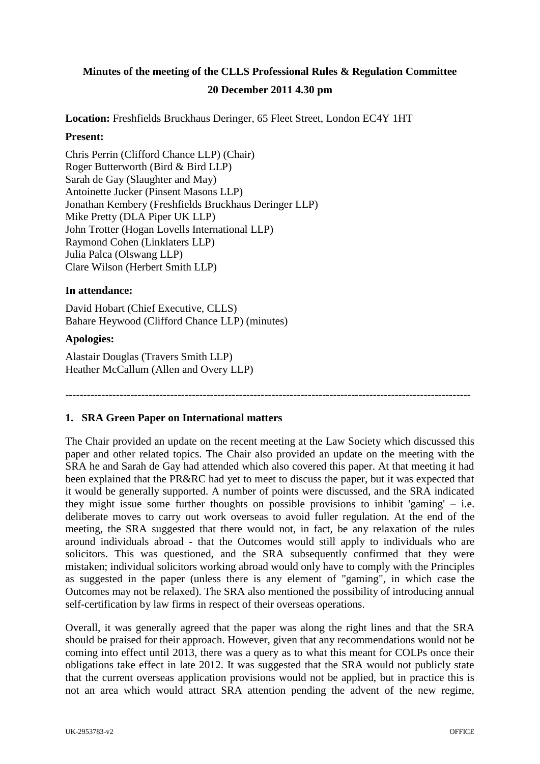# **Minutes of the meeting of the CLLS Professional Rules & Regulation Committee 20 December 2011 4.30 pm**

**Location:** Freshfields Bruckhaus Deringer, 65 Fleet Street, London EC4Y 1HT

#### **Present:**

Chris Perrin (Clifford Chance LLP) (Chair) Roger Butterworth (Bird & Bird LLP) Sarah de Gay (Slaughter and May) Antoinette Jucker (Pinsent Masons LLP) Jonathan Kembery (Freshfields Bruckhaus Deringer LLP) Mike Pretty (DLA Piper UK LLP) John Trotter (Hogan Lovells International LLP) Raymond Cohen (Linklaters LLP) Julia Palca (Olswang LLP) Clare Wilson (Herbert Smith LLP)

#### **In attendance:**

David Hobart (Chief Executive, CLLS) Bahare Heywood (Clifford Chance LLP) (minutes)

#### **Apologies:**

Alastair Douglas (Travers Smith LLP) Heather McCallum (Allen and Overy LLP)

**----------------------------------------------------------------------------------------------------------------**

## **1. SRA Green Paper on International matters**

The Chair provided an update on the recent meeting at the Law Society which discussed this paper and other related topics. The Chair also provided an update on the meeting with the SRA he and Sarah de Gay had attended which also covered this paper. At that meeting it had been explained that the PR&RC had yet to meet to discuss the paper, but it was expected that it would be generally supported. A number of points were discussed, and the SRA indicated they might issue some further thoughts on possible provisions to inhibit 'gaming'  $-$  i.e. deliberate moves to carry out work overseas to avoid fuller regulation. At the end of the meeting, the SRA suggested that there would not, in fact, be any relaxation of the rules around individuals abroad - that the Outcomes would still apply to individuals who are solicitors. This was questioned, and the SRA subsequently confirmed that they were mistaken; individual solicitors working abroad would only have to comply with the Principles as suggested in the paper (unless there is any element of "gaming", in which case the Outcomes may not be relaxed). The SRA also mentioned the possibility of introducing annual self-certification by law firms in respect of their overseas operations.

Overall, it was generally agreed that the paper was along the right lines and that the SRA should be praised for their approach. However, given that any recommendations would not be coming into effect until 2013, there was a query as to what this meant for COLPs once their obligations take effect in late 2012. It was suggested that the SRA would not publicly state that the current overseas application provisions would not be applied, but in practice this is not an area which would attract SRA attention pending the advent of the new regime,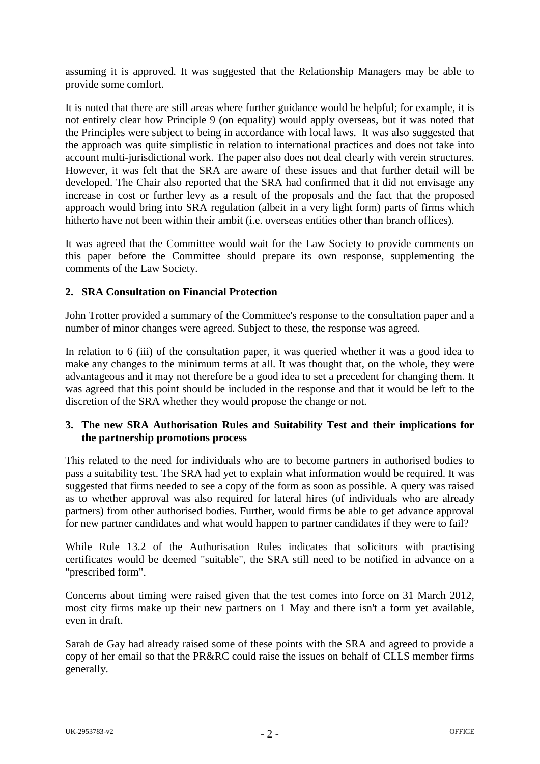assuming it is approved. It was suggested that the Relationship Managers may be able to provide some comfort.

It is noted that there are still areas where further guidance would be helpful; for example, it is not entirely clear how Principle 9 (on equality) would apply overseas, but it was noted that the Principles were subject to being in accordance with local laws. It was also suggested that the approach was quite simplistic in relation to international practices and does not take into account multi-jurisdictional work. The paper also does not deal clearly with verein structures. However, it was felt that the SRA are aware of these issues and that further detail will be developed. The Chair also reported that the SRA had confirmed that it did not envisage any increase in cost or further levy as a result of the proposals and the fact that the proposed approach would bring into SRA regulation (albeit in a very light form) parts of firms which hitherto have not been within their ambit (i.e. overseas entities other than branch offices).

It was agreed that the Committee would wait for the Law Society to provide comments on this paper before the Committee should prepare its own response, supplementing the comments of the Law Society.

## **2. SRA Consultation on Financial Protection**

John Trotter provided a summary of the Committee's response to the consultation paper and a number of minor changes were agreed. Subject to these, the response was agreed.

In relation to 6 (iii) of the consultation paper, it was queried whether it was a good idea to make any changes to the minimum terms at all. It was thought that, on the whole, they were advantageous and it may not therefore be a good idea to set a precedent for changing them. It was agreed that this point should be included in the response and that it would be left to the discretion of the SRA whether they would propose the change or not.

## **3. The new SRA Authorisation Rules and Suitability Test and their implications for the partnership promotions process**

This related to the need for individuals who are to become partners in authorised bodies to pass a suitability test. The SRA had yet to explain what information would be required. It was suggested that firms needed to see a copy of the form as soon as possible. A query was raised as to whether approval was also required for lateral hires (of individuals who are already partners) from other authorised bodies. Further, would firms be able to get advance approval for new partner candidates and what would happen to partner candidates if they were to fail?

While Rule 13.2 of the Authorisation Rules indicates that solicitors with practising certificates would be deemed "suitable", the SRA still need to be notified in advance on a "prescribed form".

Concerns about timing were raised given that the test comes into force on 31 March 2012, most city firms make up their new partners on 1 May and there isn't a form yet available, even in draft.

Sarah de Gay had already raised some of these points with the SRA and agreed to provide a copy of her email so that the PR&RC could raise the issues on behalf of CLLS member firms generally.